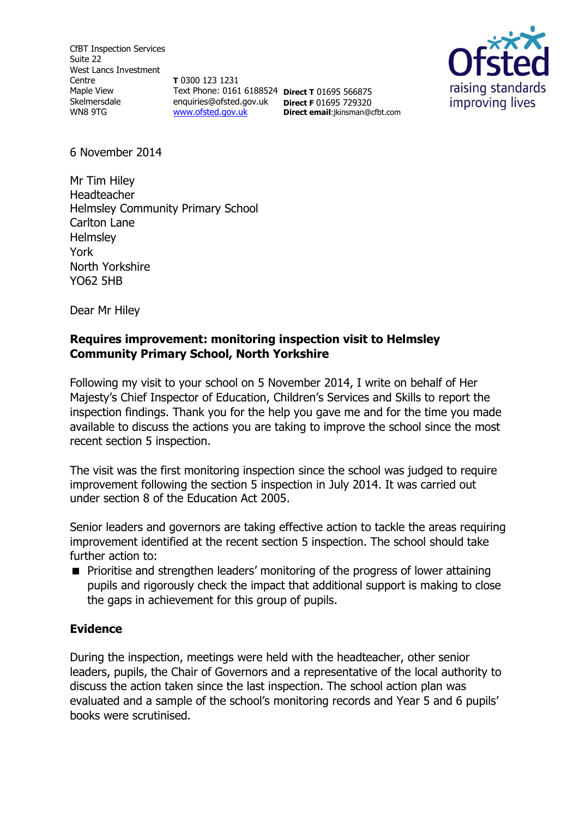CfBT Inspection Services Suite 22 West Lancs Investment Centre Maple View Skelmersdale WN8 9TG

**T** 0300 123 1231 Text Phone: 0161 6188524 **Direct T** 01695 566875 enquiries@ofsted.gov.uk **Direct F** 01695 729320 [www.ofsted.gov.uk](http://www.ofsted.gov.uk/)

**Direct email**:jkinsman@cfbt.com



6 November 2014

Mr Tim Hiley Headteacher Helmsley Community Primary School Carlton Lane **Helmsley** York North Yorkshire YO62 5HB

Dear Mr Hiley

# **Requires improvement: monitoring inspection visit to Helmsley Community Primary School, North Yorkshire**

Following my visit to your school on 5 November 2014, I write on behalf of Her Majesty's Chief Inspector of Education, Children's Services and Skills to report the inspection findings. Thank you for the help you gave me and for the time you made available to discuss the actions you are taking to improve the school since the most recent section 5 inspection.

The visit was the first monitoring inspection since the school was judged to require improvement following the section 5 inspection in July 2014. It was carried out under section 8 of the Education Act 2005.

Senior leaders and governors are taking effective action to tackle the areas requiring improvement identified at the recent section 5 inspection. The school should take further action to:

**Prioritise and strengthen leaders' monitoring of the progress of lower attaining** pupils and rigorously check the impact that additional support is making to close the gaps in achievement for this group of pupils.

## **Evidence**

During the inspection, meetings were held with the headteacher, other senior leaders, pupils, the Chair of Governors and a representative of the local authority to discuss the action taken since the last inspection. The school action plan was evaluated and a sample of the school's monitoring records and Year 5 and 6 pupils' books were scrutinised.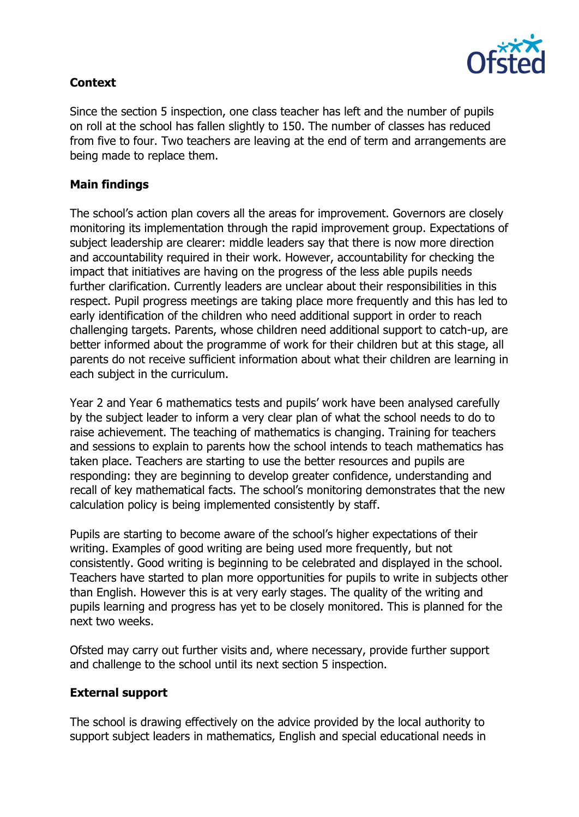

# **Context**

Since the section 5 inspection, one class teacher has left and the number of pupils on roll at the school has fallen slightly to 150. The number of classes has reduced from five to four. Two teachers are leaving at the end of term and arrangements are being made to replace them.

#### **Main findings**

The school's action plan covers all the areas for improvement. Governors are closely monitoring its implementation through the rapid improvement group. Expectations of subject leadership are clearer: middle leaders say that there is now more direction and accountability required in their work. However, accountability for checking the impact that initiatives are having on the progress of the less able pupils needs further clarification. Currently leaders are unclear about their responsibilities in this respect. Pupil progress meetings are taking place more frequently and this has led to early identification of the children who need additional support in order to reach challenging targets. Parents, whose children need additional support to catch-up, are better informed about the programme of work for their children but at this stage, all parents do not receive sufficient information about what their children are learning in each subject in the curriculum.

Year 2 and Year 6 mathematics tests and pupils' work have been analysed carefully by the subject leader to inform a very clear plan of what the school needs to do to raise achievement. The teaching of mathematics is changing. Training for teachers and sessions to explain to parents how the school intends to teach mathematics has taken place. Teachers are starting to use the better resources and pupils are responding: they are beginning to develop greater confidence, understanding and recall of key mathematical facts. The school's monitoring demonstrates that the new calculation policy is being implemented consistently by staff.

Pupils are starting to become aware of the school's higher expectations of their writing. Examples of good writing are being used more frequently, but not consistently. Good writing is beginning to be celebrated and displayed in the school. Teachers have started to plan more opportunities for pupils to write in subjects other than English. However this is at very early stages. The quality of the writing and pupils learning and progress has yet to be closely monitored. This is planned for the next two weeks.

Ofsted may carry out further visits and, where necessary, provide further support and challenge to the school until its next section 5 inspection.

## **External support**

The school is drawing effectively on the advice provided by the local authority to support subject leaders in mathematics, English and special educational needs in